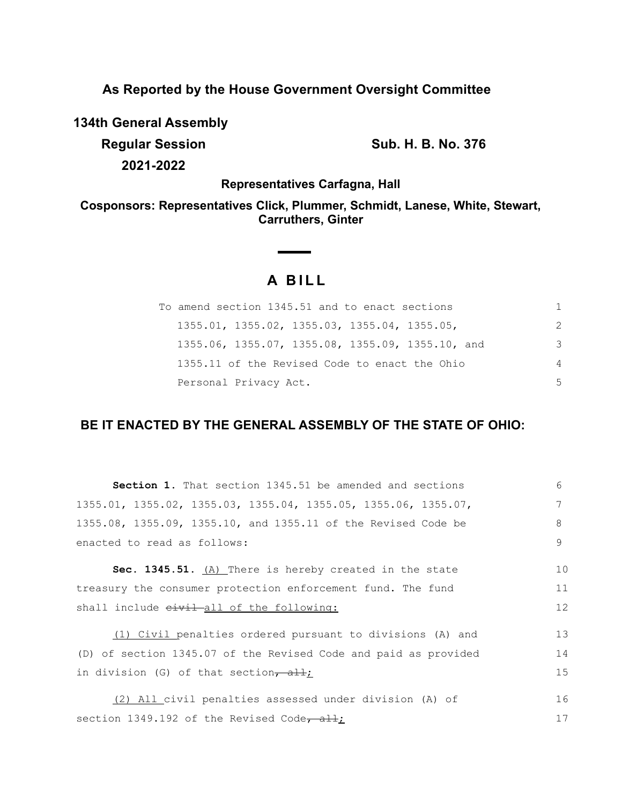**As Reported by the House Government Oversight Committee**

**134th General Assembly**

**Regular Session Sub. H. B. No. 376 2021-2022**

**Representatives Carfagna, Hall**

**Cosponsors: Representatives Click, Plummer, Schmidt, Lanese, White, Stewart, Carruthers, Ginter**

# **A BILL**

**Contract Contract Contract** 

| To amend section 1345.51 and to enact sections   | 1. |
|--------------------------------------------------|----|
| $1355.01, 1355.02, 1355.03, 1355.04, 1355.05,$   | 2  |
| 1355.06, 1355.07, 1355.08, 1355.09, 1355.10, and | 3  |
| 1355.11 of the Revised Code to enact the Ohio    | 4  |
| Personal Privacy Act.                            | .5 |

## **BE IT ENACTED BY THE GENERAL ASSEMBLY OF THE STATE OF OHIO:**

| Section 1. That section 1345.51 be amended and sections          | 6  |
|------------------------------------------------------------------|----|
| $1355.01, 1355.02, 1355.03, 1355.04, 1355.05, 1355.06, 1355.07,$ | 7  |
| 1355.08, 1355.09, 1355.10, and 1355.11 of the Revised Code be    | 8  |
| enacted to read as follows:                                      | 9  |
| Sec. 1345.51. $(A)$ There is hereby created in the state         | 10 |
| treasury the consumer protection enforcement fund. The fund      | 11 |
| shall include eivil-all of the following:                        | 12 |
| (1) Civil penalties ordered pursuant to divisions (A) and        | 13 |
| (D) of section 1345.07 of the Revised Code and paid as provided  | 14 |
| in division (G) of that section, $\frac{1}{2}$ ;                 | 15 |
| (2) All civil penalties assessed under division (A) of           | 16 |
| section 1349.192 of the Revised Code, $\frac{1}{2}$              | 17 |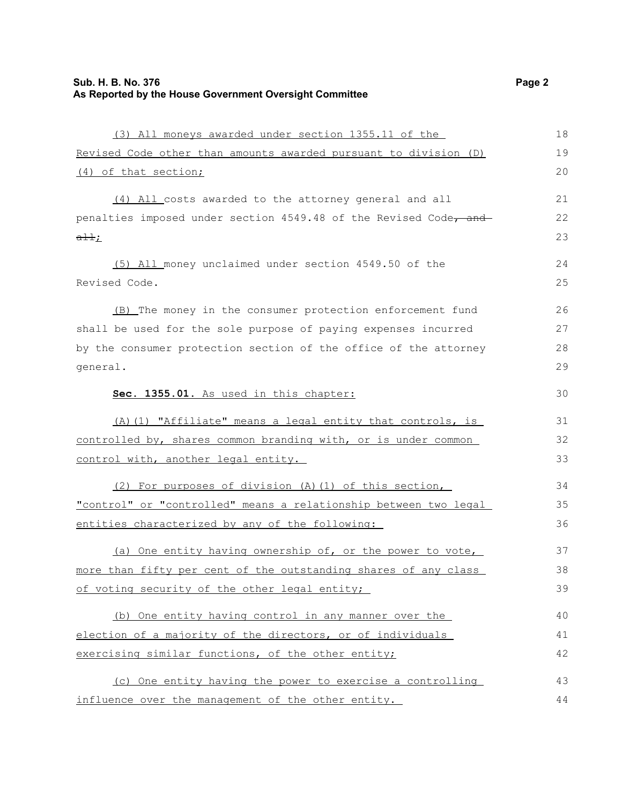(3) All moneys awarded under section 1355.11 of the Revised Code other than amounts awarded pursuant to division (D) (4) of that section; (4) All costs awarded to the attorney general and all penalties imposed under section 4549.48 of the Revised Code, and  $a \pm i$ ; (5) All money unclaimed under section 4549.50 of the Revised Code. (B) The money in the consumer protection enforcement fund shall be used for the sole purpose of paying expenses incurred by the consumer protection section of the office of the attorney general. **Sec. 1355.01.** As used in this chapter: (A)(1) "Affiliate" means a legal entity that controls, is controlled by, shares common branding with, or is under common control with, another legal entity. (2) For purposes of division (A)(1) of this section, "control" or "controlled" means a relationship between two legal 18 19  $20$ 21 22 23 24 25 26 27 28 29 30 31 32 33 34 35

(a) One entity having ownership of, or the power to vote, more than fifty per cent of the outstanding shares of any class of voting security of the other legal entity; 37 38 39

entities characterized by any of the following:

(b) One entity having control in any manner over the election of a majority of the directors, or of individuals exercising similar functions, of the other entity; 40 41 42

(c) One entity having the power to exercise a controlling influence over the management of the other entity. 43 44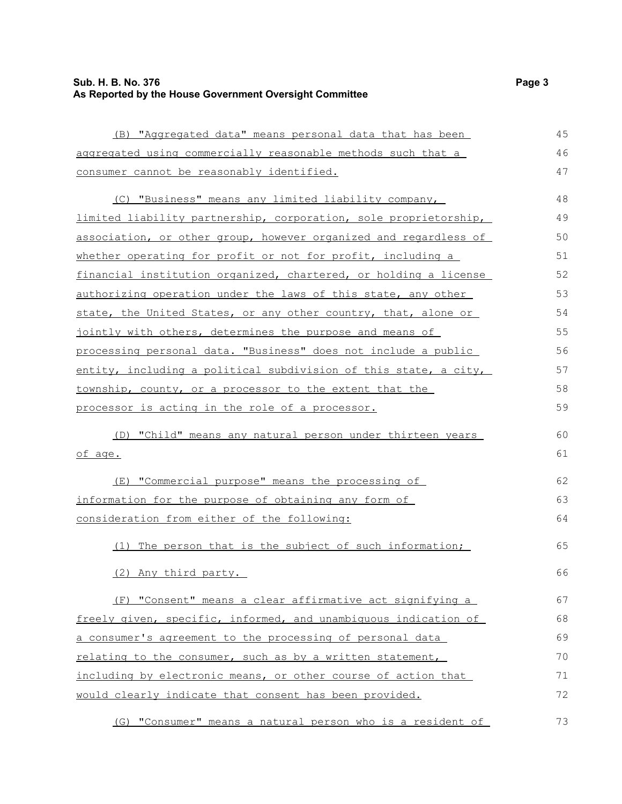#### **Sub. H. B. No. 376 Page 3 As Reported by the House Government Oversight Committee**

(B) "Aggregated data" means personal data that has been aggregated using commercially reasonable methods such that a consumer cannot be reasonably identified. (C) "Business" means any limited liability company, limited liability partnership, corporation, sole proprietorship, association, or other group, however organized and regardless of whether operating for profit or not for profit, including a financial institution organized, chartered, or holding a license authorizing operation under the laws of this state, any other state, the United States, or any other country, that, alone or jointly with others, determines the purpose and means of processing personal data. "Business" does not include a public entity, including a political subdivision of this state, a city, township, county, or a processor to the extent that the processor is acting in the role of a processor. (D) "Child" means any natural person under thirteen years of age. (E) "Commercial purpose" means the processing of information for the purpose of obtaining any form of consideration from either of the following: (1) The person that is the subject of such information; (2) Any third party. (F) "Consent" means a clear affirmative act signifying a freely given, specific, informed, and unambiguous indication of a consumer's agreement to the processing of personal data relating to the consumer, such as by a written statement, including by electronic means, or other course of action that 45 46 47 48 49 50 51 52 53 54 55 56 57 58 59  $60$ 61 62 63 64 65 66 67 68 69 70 71

(G) "Consumer" means a natural person who is a resident of 73

would clearly indicate that consent has been provided.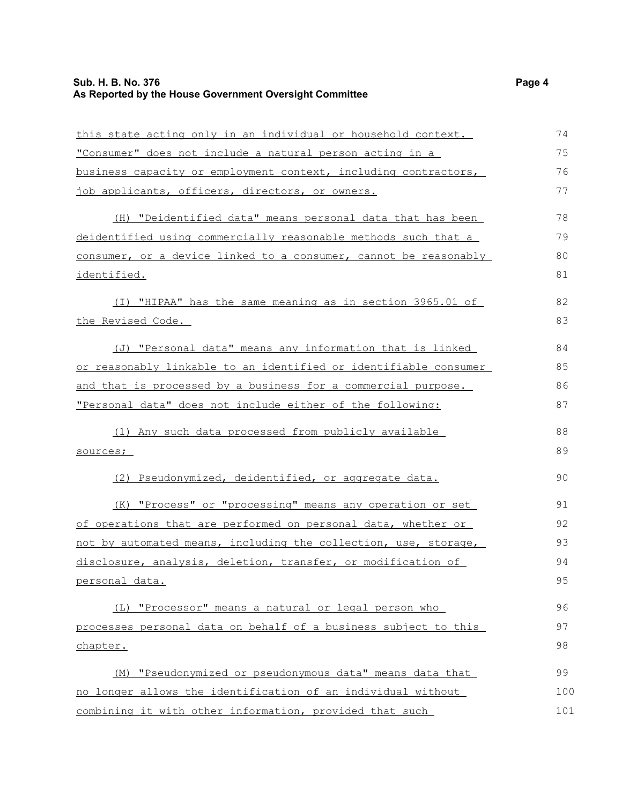#### **Sub. H. B. No. 376 Page 4 As Reported by the House Government Oversight Committee**

| this state acting only in an individual or household context.    | 74  |
|------------------------------------------------------------------|-----|
| "Consumer" does not include a natural person acting in a         | 75  |
| business capacity or employment context, including contractors,  | 76  |
| job applicants, officers, directors, or owners.                  | 77  |
| (H) "Deidentified data" means personal data that has been        | 78  |
| deidentified using commercially reasonable methods such that a   | 79  |
| consumer, or a device linked to a consumer, cannot be reasonably | 80  |
| <u>identified.</u>                                               | 81  |
| (I) "HIPAA" has the same meaning as in section 3965.01 of        | 82  |
| the Revised Code.                                                | 83  |
| (J) "Personal data" means any information that is linked         | 84  |
| or reasonably linkable to an identified or identifiable consumer | 85  |
| and that is processed by a business for a commercial purpose.    | 86  |
| "Personal data" does not include either of the following:        | 87  |
| (1) Any such data processed from publicly available              | 88  |
| sources;                                                         | 89  |
| (2) Pseudonymized, deidentified, or aggregate data.              | 90  |
| (K) "Process" or "processing" means any operation or set         | 91  |
| of operations that are performed on personal data, whether or    | 92  |
| not by automated means, including the collection, use, storage,  | 93  |
| disclosure, analysis, deletion, transfer, or modification of     | 94  |
| personal data.                                                   | 95  |
| (L) "Processor" means a natural or legal person who              | 96  |
| processes personal data on behalf of a business subject to this  | 97  |
| chapter.                                                         | 98  |
| "Pseudonymized or pseudonymous data" means data that<br>(M)      | 99  |
| no longer allows the identification of an individual without     | 100 |
| combining it with other information, provided that such          | 101 |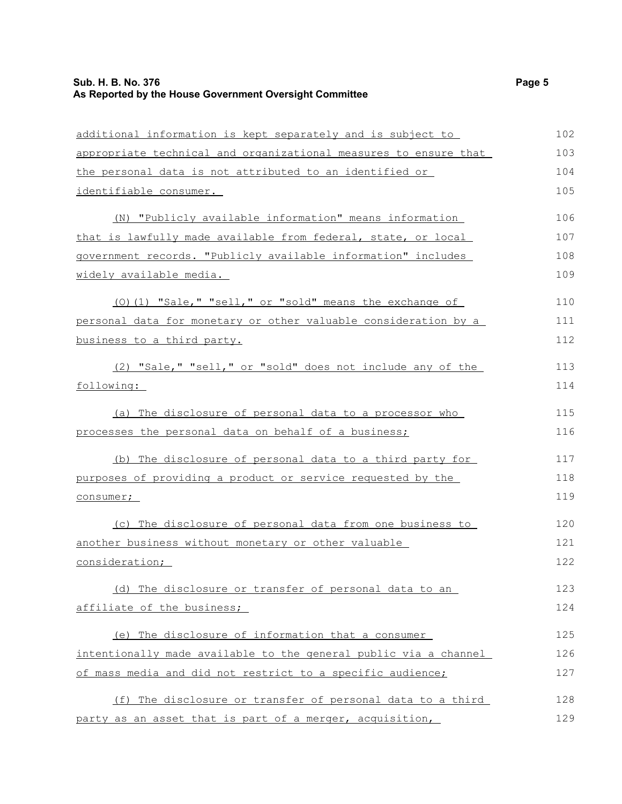## **Sub. H. B. No. 376** Page 5 **As Reported by the House Government Oversight Committee**

| additional information is kept separately and is subject to      | 102 |
|------------------------------------------------------------------|-----|
| appropriate technical and organizational measures to ensure that | 103 |
| the personal data is not attributed to an identified or          | 104 |
| identifiable consumer.                                           | 105 |
| (N) "Publicly available information" means information           | 106 |
| that is lawfully made available from federal, state, or local    | 107 |
| government records. "Publicly available information" includes    | 108 |
| widely available media.                                          | 109 |
| (0)(1) "Sale," "sell," or "sold" means the exchange of           | 110 |
| personal data for monetary or other valuable consideration by a  | 111 |
| business to a third party.                                       | 112 |
| (2) "Sale," "sell," or "sold" does not include any of the        | 113 |
| following:                                                       | 114 |
| (a) The disclosure of personal data to a processor who           | 115 |
| processes the personal data on behalf of a business;             | 116 |
| (b) The disclosure of personal data to a third party for         | 117 |
| purposes of providing a product or service requested by the      | 118 |
| consumer;                                                        | 119 |
| (c) The disclosure of personal data from one business to         | 120 |
| another business without monetary or other valuable              | 121 |
| consideration;                                                   | 122 |
| The disclosure or transfer of personal data to an<br>(d)         | 123 |
| affiliate of the business;                                       | 124 |
| (e) The disclosure of information that a consumer                | 125 |
| intentionally made available to the general public via a channel | 126 |
| of mass media and did not restrict to a specific audience;       | 127 |
| (f) The disclosure or transfer of personal data to a third       | 128 |
| party as an asset that is part of a merger, acquisition,         | 129 |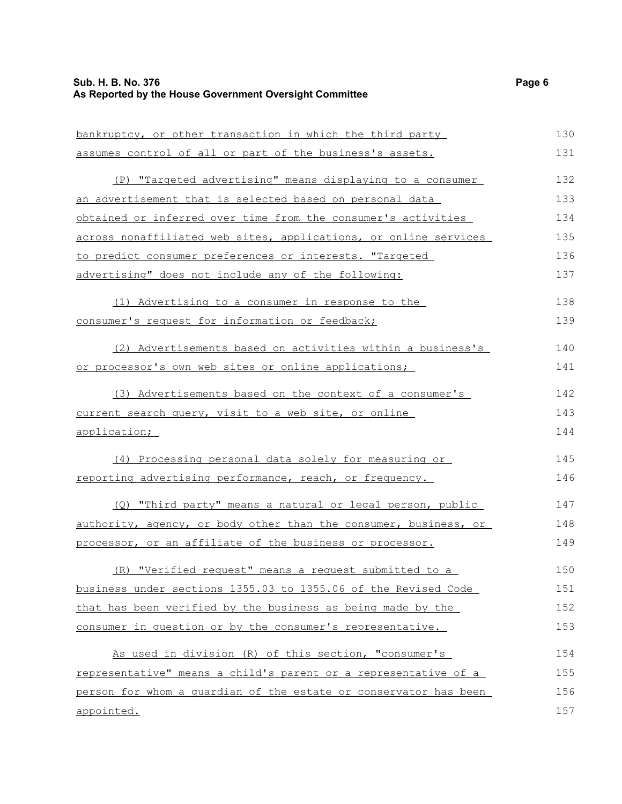| bankruptcy, or other transaction in which the third party        | 130 |
|------------------------------------------------------------------|-----|
| assumes control of all or part of the business's assets.         | 131 |
| (P) "Targeted advertising" means displaying to a consumer        | 132 |
| an advertisement that is selected based on personal data         | 133 |
| obtained or inferred over time from the consumer's activities    | 134 |
| across nonaffiliated web sites, applications, or online services | 135 |
| to predict consumer preferences or interests. "Targeted          | 136 |
| advertising" does not include any of the following:              | 137 |
| (1) Advertising to a consumer in response to the                 | 138 |
| consumer's request for information or feedback;                  | 139 |
| (2) Advertisements based on activities within a business's       | 140 |
| or processor's own web sites or online applications;             | 141 |
| (3) Advertisements based on the context of a consumer's          | 142 |
| current search query, visit to a web site, or online             | 143 |
| application;                                                     | 144 |
| (4) Processing personal data solely for measuring or             | 145 |
| reporting advertising performance, reach, or frequency.          | 146 |
| (Q) "Third party" means a natural or legal person, public        | 147 |
| authority, agency, or body other than the consumer, business, or | 148 |
| processor, or an affiliate of the business or processor.         | 149 |
| (R) "Verified request" means a request submitted to a            | 150 |
| business under sections 1355.03 to 1355.06 of the Revised Code   | 151 |
| that has been verified by the business as being made by the      | 152 |
| consumer in question or by the consumer's representative.        | 153 |
| As used in division (R) of this section, "consumer's             | 154 |
| representative" means a child's parent or a representative of a  | 155 |
| person for whom a quardian of the estate or conservator has been | 156 |
| appointed.                                                       | 157 |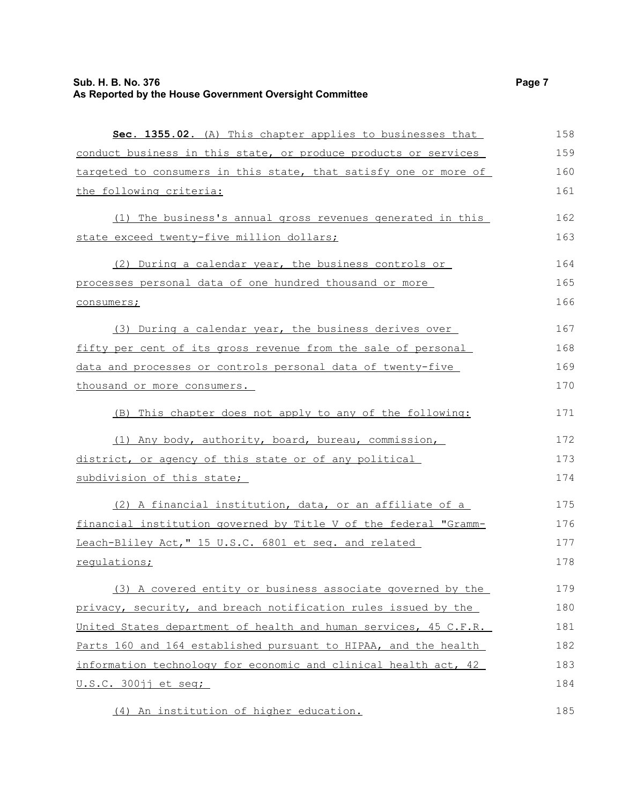| Sec. 1355.02. (A) This chapter applies to businesses that        | 158 |
|------------------------------------------------------------------|-----|
| conduct business in this state, or produce products or services  | 159 |
| targeted to consumers in this state, that satisfy one or more of | 160 |
| the following criteria:                                          | 161 |
| (1) The business's annual gross revenues generated in this       | 162 |
| state exceed twenty-five million dollars;                        | 163 |
| (2) During a calendar year, the business controls or             | 164 |
| processes personal data of one hundred thousand or more          | 165 |
| consumers;                                                       | 166 |
| (3) During a calendar year, the business derives over            | 167 |
| fifty per cent of its gross revenue from the sale of personal    | 168 |
| data and processes or controls personal data of twenty-five      | 169 |
| thousand or more consumers.                                      | 170 |
| (B) This chapter does not apply to any of the following:         | 171 |
| (1) Any body, authority, board, bureau, commission,              | 172 |
| district, or agency of this state or of any political            | 173 |
| subdivision of this state;                                       | 174 |
| (2) A financial institution, data, or an affiliate of a          | 175 |
| financial institution governed by Title V of the federal "Gramm- | 176 |
| Leach-Bliley Act," 15 U.S.C. 6801 et seq. and related            | 177 |
| regulations;                                                     | 178 |
| (3) A covered entity or business associate governed by the       | 179 |
| privacy, security, and breach notification rules issued by the   | 180 |
| United States department of health and human services, 45 C.F.R. | 181 |
| Parts 160 and 164 established pursuant to HIPAA, and the health  | 182 |
| information technology for economic and clinical health act, 42  | 183 |
| U.S.C. 300jj et seq;                                             | 184 |
| (4) An institution of higher education.                          | 185 |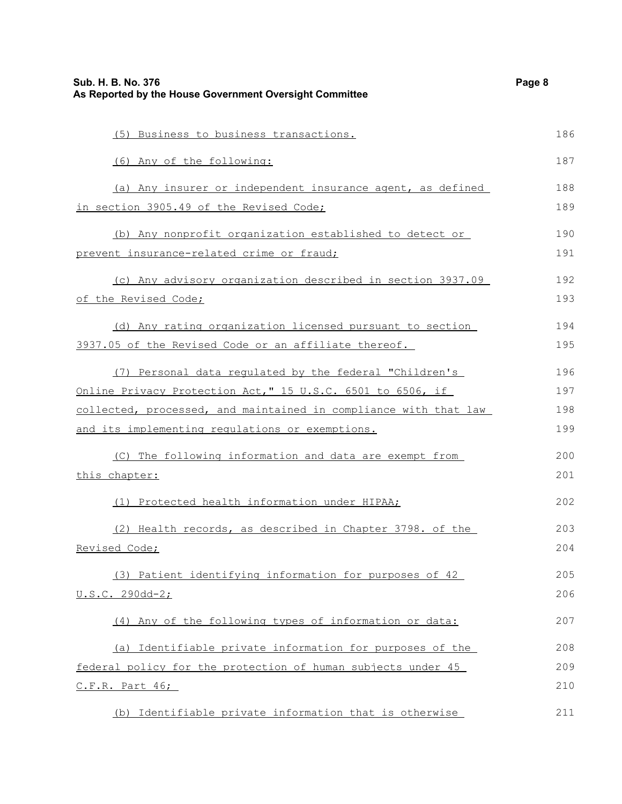| Sub. H. B. No. 376<br>As Reported by the House Government Oversight Committee |     |
|-------------------------------------------------------------------------------|-----|
| (5) Business to business transactions.                                        | 186 |
| (6) Any of the following:                                                     | 187 |
| (a) Any insurer or independent insurance agent, as defined                    | 188 |
| in section 3905.49 of the Revised Code;                                       | 189 |
| (b) Any nonprofit organization established to detect or                       | 190 |
| prevent insurance-related crime or fraud;                                     | 191 |
| (c) Any advisory organization described in section 3937.09                    | 192 |
| of the Revised Code;                                                          | 193 |
| (d) Any rating organization licensed pursuant to section                      | 194 |
| 3937.05 of the Revised Code or an affiliate thereof.                          | 195 |
| (7) Personal data regulated by the federal "Children's                        | 196 |
| Online Privacy Protection Act, " 15 U.S.C. 6501 to 6506, if                   | 197 |
| collected, processed, and maintained in compliance with that law              | 198 |
| and its implementing regulations or exemptions.                               | 199 |
| (C) The following information and data are exempt from                        | 200 |
| this chapter:                                                                 | 201 |
| (1) Protected health information under HIPAA;                                 | 202 |
| (2) Health records, as described in Chapter 3798. of the                      | 203 |
| Revised Code;                                                                 | 204 |
| (3) Patient identifying information for purposes of 42                        | 205 |
| <u>U.S.C. 290dd-2;</u>                                                        | 206 |
| (4) Any of the following types of information or data:                        | 207 |
| (a) Identifiable private information for purposes of the                      | 208 |
| federal policy for the protection of human subjects under 45                  | 209 |
| C.F.R. Part 46;                                                               | 210 |
| (b) Identifiable private information that is otherwise                        | 211 |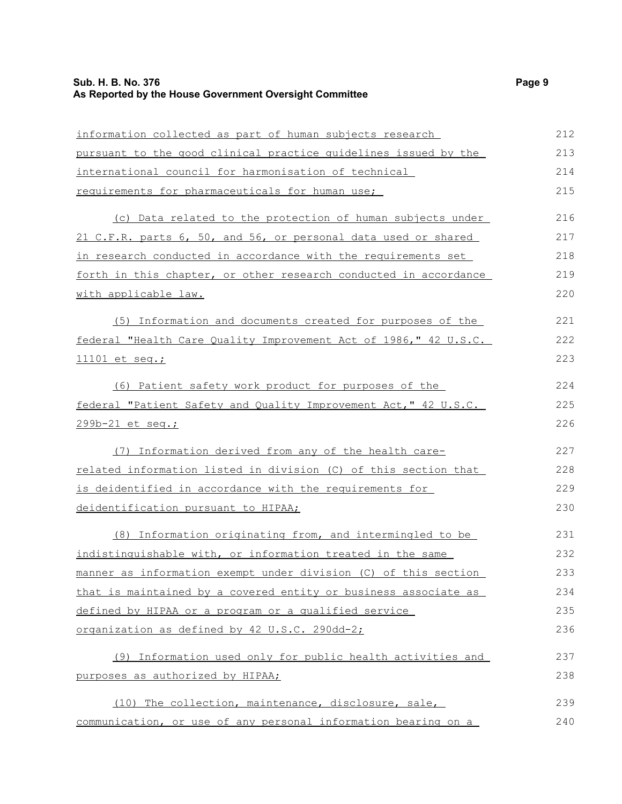## **Sub. H. B. No. 376** Page 9 **As Reported by the House Government Oversight Committee**

| information collected as part of human subjects research         | 212 |
|------------------------------------------------------------------|-----|
| pursuant to the good clinical practice quidelines issued by the  | 213 |
| international council for harmonisation of technical             | 214 |
| requirements for pharmaceuticals for human use;                  | 215 |
| (c) Data related to the protection of human subjects under       | 216 |
| 21 C.F.R. parts 6, 50, and 56, or personal data used or shared   | 217 |
| in research conducted in accordance with the requirements set    | 218 |
| forth in this chapter, or other research conducted in accordance | 219 |
| with applicable law.                                             | 220 |
| (5) Information and documents created for purposes of the        | 221 |
| federal "Health Care Quality Improvement Act of 1986," 42 U.S.C. | 222 |
| 11101 et seq.;                                                   | 223 |
| (6) Patient safety work product for purposes of the              | 224 |
| federal "Patient Safety and Quality Improvement Act," 42 U.S.C.  | 225 |
| 299b-21 et seq.;                                                 | 226 |
| (7) Information derived from any of the health care-             | 227 |
| related information listed in division (C) of this section that  | 228 |
| is deidentified in accordance with the requirements for          | 229 |
| deidentification pursuant to HIPAA;                              | 230 |
| (8) Information originating from, and intermingled to be         | 231 |
| indistinguishable with, or information treated in the same       | 232 |
| manner as information exempt under division (C) of this section  | 233 |
| that is maintained by a covered entity or business associate as  | 234 |
| defined by HIPAA or a program or a qualified service             | 235 |
| organization as defined by 42 U.S.C. 290dd-2;                    | 236 |
| (9) Information used only for public health activities and       | 237 |
| purposes as authorized by HIPAA;                                 | 238 |
| (10) The collection, maintenance, disclosure, sale,              | 239 |

communication, or use of any personal information bearing on a 240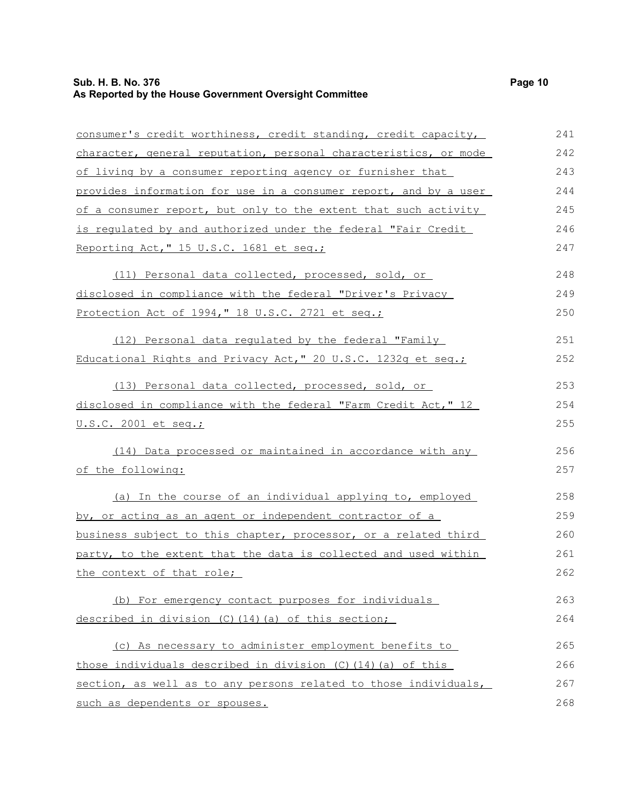## **Sub. H. B. No. 376** Page 10 **As Reported by the House Government Oversight Committee**

| consumer's credit worthiness, credit standing, credit capacity,  | 241 |
|------------------------------------------------------------------|-----|
| character, general reputation, personal characteristics, or mode | 242 |
| of living by a consumer reporting agency or furnisher that       | 243 |
| provides information for use in a consumer report, and by a user | 244 |
| of a consumer report, but only to the extent that such activity  | 245 |
| is requlated by and authorized under the federal "Fair Credit    | 246 |
| Reporting Act," 15 U.S.C. 1681 et seq.;                          | 247 |
| (11) Personal data collected, processed, sold, or                | 248 |
| disclosed in compliance with the federal "Driver's Privacy       | 249 |
| Protection Act of 1994," 18 U.S.C. 2721 et seq.;                 | 250 |
| (12) Personal data regulated by the federal "Family              | 251 |
| Educational Rights and Privacy Act," 20 U.S.C. 1232g et seg.;    | 252 |
| (13) Personal data collected, processed, sold, or                | 253 |
| disclosed in compliance with the federal "Farm Credit Act," 12   | 254 |
| <u>U.S.C. 2001 et seq.;</u>                                      | 255 |
| (14) Data processed or maintained in accordance with any         | 256 |
| of the following:                                                | 257 |
| (a) In the course of an individual applying to, employed         | 258 |
| by, or acting as an agent or independent contractor of a         | 259 |
| business subject to this chapter, processor, or a related third  | 260 |
| party, to the extent that the data is collected and used within  | 261 |
| the context of that role;                                        | 262 |
| (b) For emergency contact purposes for individuals               | 263 |
| described in division (C) (14) (a) of this section;              | 264 |
| (c) As necessary to administer employment benefits to            | 265 |
| those individuals described in division (C) (14) (a) of this     | 266 |
| section, as well as to any persons related to those individuals, | 267 |
| such as dependents or spouses.                                   | 268 |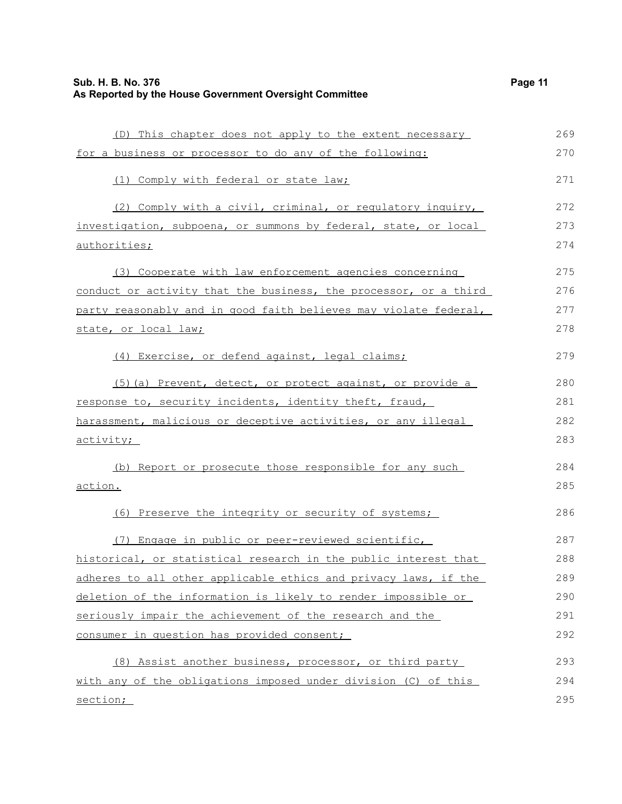(D) This chapter does not apply to the extent necessary for a business or processor to do any of the following: (1) Comply with federal or state law; (2) Comply with a civil, criminal, or regulatory inquiry, investigation, subpoena, or summons by federal, state, or local authorities; (3) Cooperate with law enforcement agencies concerning conduct or activity that the business, the processor, or a third party reasonably and in good faith believes may violate federal, state, or local law; (4) Exercise, or defend against, legal claims; (5)(a) Prevent, detect, or protect against, or provide a response to, security incidents, identity theft, fraud, harassment, malicious or deceptive activities, or any illegal activity; (b) Report or prosecute those responsible for any such action. (6) Preserve the integrity or security of systems; (7) Engage in public or peer-reviewed scientific, historical, or statistical research in the public interest that adheres to all other applicable ethics and privacy laws, if the deletion of the information is likely to render impossible or seriously impair the achievement of the research and the consumer in question has provided consent; (8) Assist another business, processor, or third party 269 270 271 272 273 274 275 276 277 278 279 280 281 282 283 284 285 286 287 288 289 290 291 292 293

with any of the obligations imposed under division (C) of this section; 294 295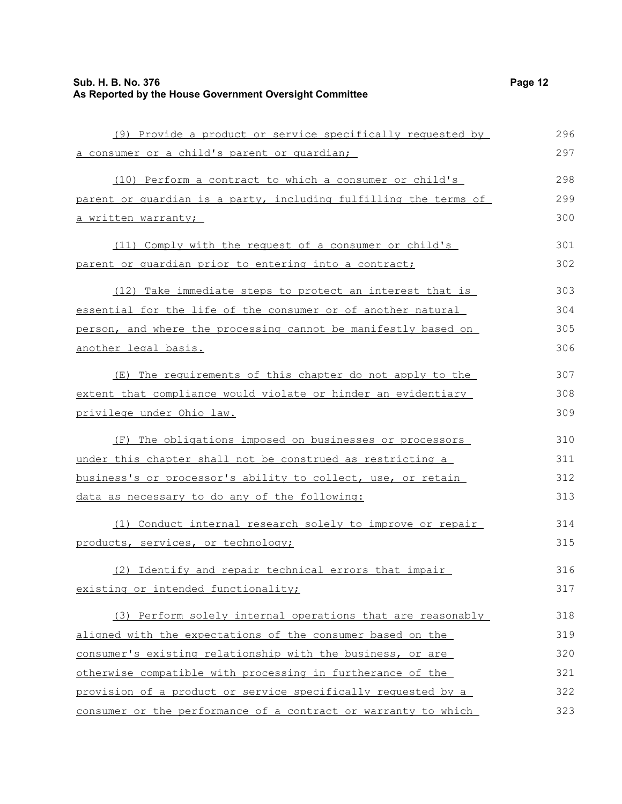(9) Provide a product or service specifically requested by a consumer or a child's parent or guardian; (10) Perform a contract to which a consumer or child's parent or guardian is a party, including fulfilling the terms of a written warranty; (11) Comply with the request of a consumer or child's parent or guardian prior to entering into a contract; (12) Take immediate steps to protect an interest that is essential for the life of the consumer or of another natural person, and where the processing cannot be manifestly based on another legal basis. (E) The requirements of this chapter do not apply to the extent that compliance would violate or hinder an evidentiary privilege under Ohio law. (F) The obligations imposed on businesses or processors under this chapter shall not be construed as restricting a business's or processor's ability to collect, use, or retain data as necessary to do any of the following: (1) Conduct internal research solely to improve or repair products, services, or technology; (2) Identify and repair technical errors that impair existing or intended functionality; (3) Perform solely internal operations that are reasonably aligned with the expectations of the consumer based on the consumer's existing relationship with the business, or are otherwise compatible with processing in furtherance of the 296 297 298 299 300 301 302 303 304 305 306 307 308 309 310 311 312 313 314 315 316 317 318 319 320 321

provision of a product or service specifically requested by a consumer or the performance of a contract or warranty to which 322 323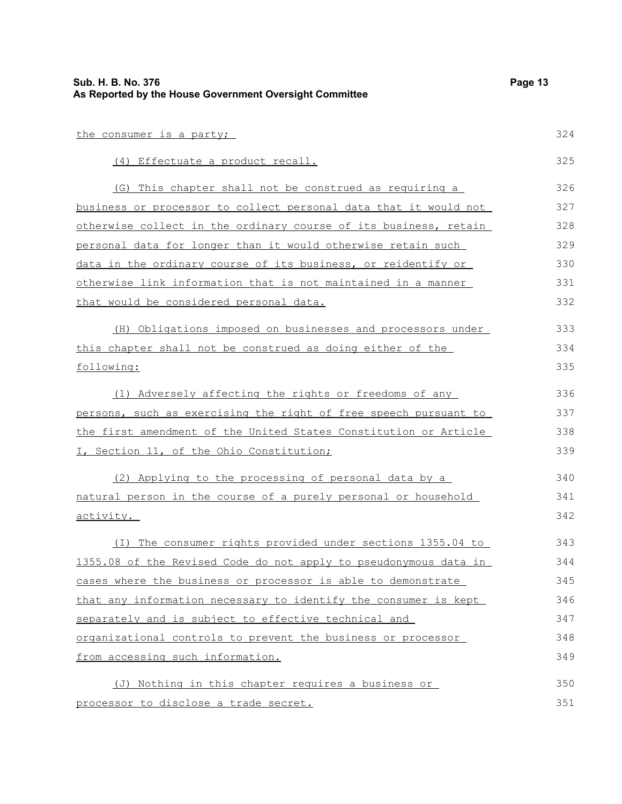| Sub. H. B. No. 376<br>As Reported by the House Government Oversight Committee | Page 13 |
|-------------------------------------------------------------------------------|---------|
| the consumer is a party;                                                      | 324     |
| (4) Effectuate a product recall.                                              | 325     |
| (G) This chapter shall not be construed as requiring a                        | 326     |
| business or processor to collect personal data that it would not              | 327     |
| otherwise collect in the ordinary course of its business, retain              | 328     |
| personal data for longer than it would otherwise retain such                  | 329     |
| data in the ordinary course of its business, or reidentify or                 | 330     |
| otherwise link information that is not maintained in a manner                 | 331     |
| that would be considered personal data.                                       | 332     |
| (H) Obligations imposed on businesses and processors under                    | 333     |
| this chapter shall not be construed as doing either of the                    | 334     |
| following:                                                                    | 335     |
| (1) Adversely affecting the rights or freedoms of any                         | 336     |
| persons, such as exercising the right of free speech pursuant to              | 337     |
| the first amendment of the United States Constitution or Article              | 338     |
| I, Section 11, of the Ohio Constitution;                                      | 339     |
| (2) Applying to the processing of personal data by a                          | 340     |
| natural person in the course of a purely personal or household                | 341     |
| activity.                                                                     | 342     |
| (I) The consumer rights provided under sections 1355.04 to                    | 343     |
| 1355.08 of the Revised Code do not apply to pseudonymous data in              | 344     |
| cases where the business or processor is able to demonstrate                  | 345     |
| that any information necessary to identify the consumer is kept               | 346     |
| separately and is subject to effective technical and                          | 347     |
| organizational controls to prevent the business or processor                  | 348     |
| from accessing such information.                                              | 349     |
| (J) Nothing in this chapter requires a business or                            | 350     |
| processor to disclose a trade secret.                                         | 351     |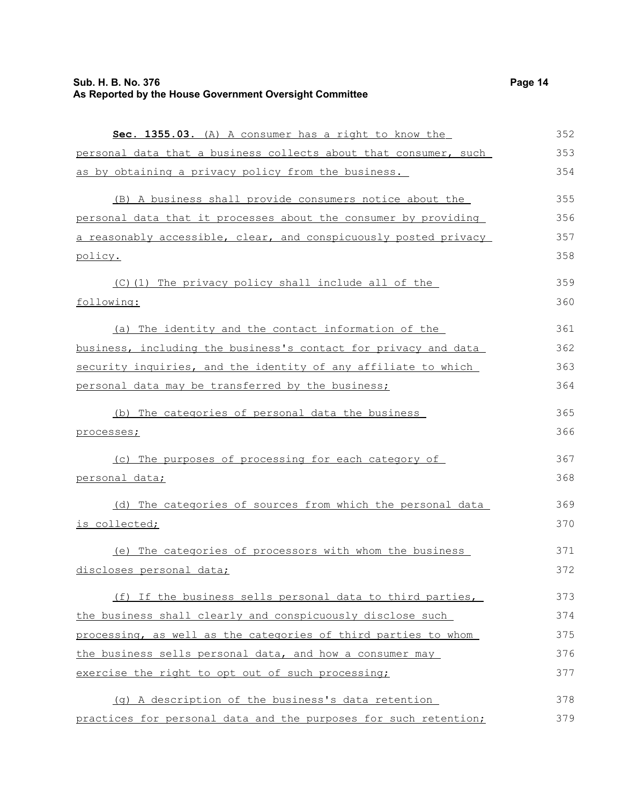| Sec. 1355.03. (A) A consumer has a right to know the             | 352 |
|------------------------------------------------------------------|-----|
| personal data that a business collects about that consumer, such | 353 |
| as by obtaining a privacy policy from the business.              | 354 |
| (B) A business shall provide consumers notice about the          | 355 |
| personal data that it processes about the consumer by providing  | 356 |
| a reasonably accessible, clear, and conspicuously posted privacy | 357 |
| policy.                                                          | 358 |
| (C)(1) The privacy policy shall include all of the               | 359 |
| following:                                                       | 360 |
| (a) The identity and the contact information of the              | 361 |
| business, including the business's contact for privacy and data  | 362 |
| security inquiries, and the identity of any affiliate to which   | 363 |
| personal data may be transferred by the business;                | 364 |
| (b) The categories of personal data the business                 | 365 |
| processes;                                                       | 366 |
| (c) The purposes of processing for each category of              | 367 |
| personal data;                                                   | 368 |
| (d) The categories of sources from which the personal data       | 369 |
| is collected;                                                    | 370 |
| (e) The categories of processors with whom the business          | 371 |
| discloses personal data;                                         | 372 |
| (f) If the business sells personal data to third parties,        | 373 |
| the business shall clearly and conspicuously disclose such       | 374 |
| processing, as well as the categories of third parties to whom   | 375 |
| the business sells personal data, and how a consumer may         | 376 |
| exercise the right to opt out of such processing;                | 377 |
| (q) A description of the business's data retention               | 378 |
| practices for personal data and the purposes for such retention; | 379 |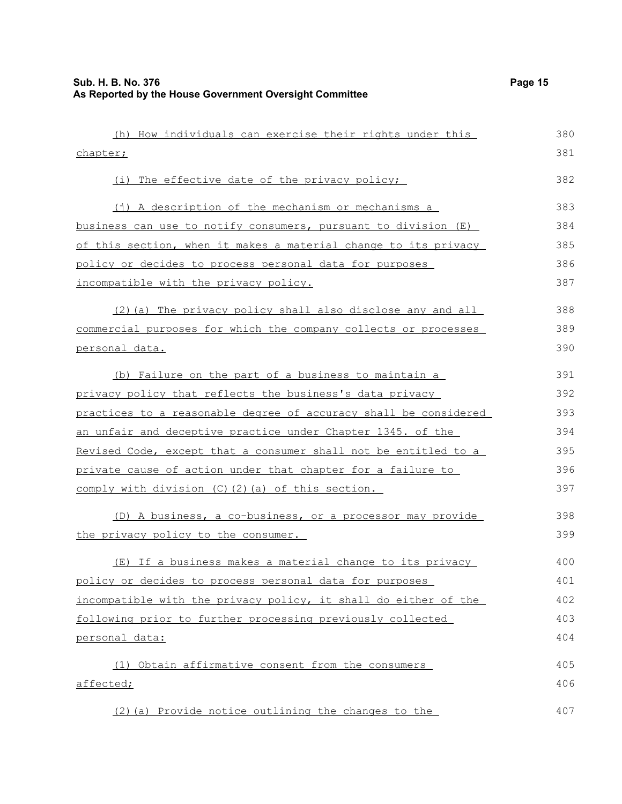| (h) How individuals can exercise their rights under this         | 380 |
|------------------------------------------------------------------|-----|
| chapter;                                                         | 381 |
| (i) The effective date of the privacy policy;                    | 382 |
| (j) A description of the mechanism or mechanisms a               | 383 |
| business can use to notify consumers, pursuant to division (E)   | 384 |
| of this section, when it makes a material change to its privacy  | 385 |
| policy or decides to process personal data for purposes          | 386 |
| incompatible with the privacy policy.                            | 387 |
| (2) (a) The privacy policy shall also disclose any and all       | 388 |
| commercial purposes for which the company collects or processes  | 389 |
| personal data.                                                   | 390 |
| (b) Failure on the part of a business to maintain a              | 391 |
| privacy policy that reflects the business's data privacy         | 392 |
| practices to a reasonable degree of accuracy shall be considered | 393 |
| an unfair and deceptive practice under Chapter 1345. of the      | 394 |
| Revised Code, except that a consumer shall not be entitled to a  | 395 |
| private cause of action under that chapter for a failure to      | 396 |
| comply with division (C)(2)(a) of this section.                  | 397 |
| (D) A business, a co-business, or a processor may provide        | 398 |
| the privacy policy to the consumer.                              | 399 |
| (E) If a business makes a material change to its privacy         | 400 |
| policy or decides to process personal data for purposes          | 401 |
| incompatible with the privacy policy, it shall do either of the  | 402 |
| following prior to further processing previously collected       | 403 |
| personal data:                                                   | 404 |
| (1) Obtain affirmative consent from the consumers                | 405 |
| affected;                                                        | 406 |
| (2) (a) Provide notice outlining the changes to the              | 407 |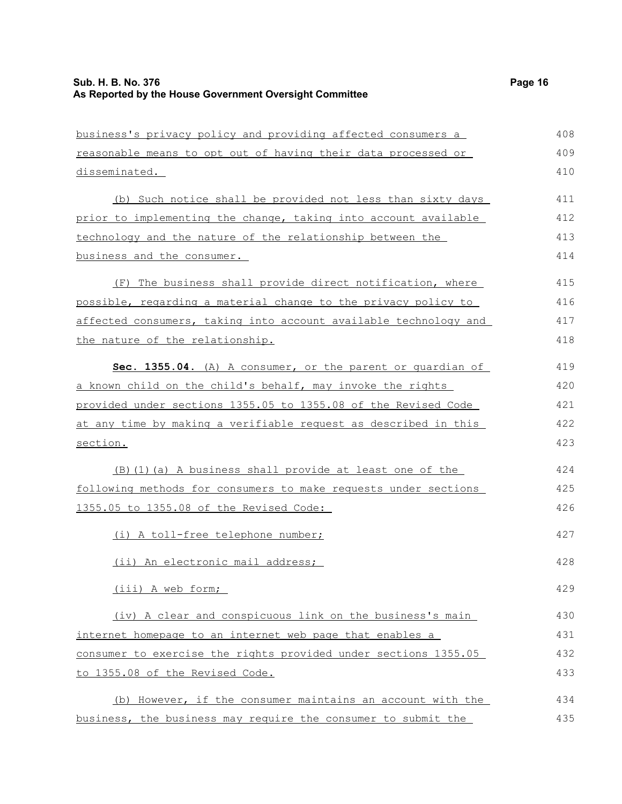| business's privacy policy and providing affected consumers a     | 408 |
|------------------------------------------------------------------|-----|
| reasonable means to opt out of having their data processed or    | 409 |
| disseminated.                                                    | 410 |
| (b) Such notice shall be provided not less than sixty days       | 411 |
| prior to implementing the change, taking into account available  | 412 |
| technology and the nature of the relationship between the        | 413 |
| business and the consumer.                                       | 414 |
| (F) The business shall provide direct notification, where        | 415 |
| possible, regarding a material change to the privacy policy to   | 416 |
| affected consumers, taking into account available technology and | 417 |
| the nature of the relationship.                                  | 418 |
| Sec. 1355.04. (A) A consumer, or the parent or quardian of       | 419 |
| a known child on the child's behalf, may invoke the rights       | 420 |
| provided under sections 1355.05 to 1355.08 of the Revised Code   | 421 |
| at any time by making a verifiable request as described in this  | 422 |
| section.                                                         | 423 |
| (B) (1) (a) A business shall provide at least one of the         | 424 |
| following methods for consumers to make requests under sections  | 425 |
| 1355.05 to 1355.08 of the Revised Code:                          | 426 |
| (i) A toll-free telephone number;                                | 427 |
| (ii) An electronic mail address;                                 | 428 |
| (iii) A web form;                                                | 429 |
| (iv) A clear and conspicuous link on the business's main         | 430 |
| internet homepage to an internet web page that enables a         | 431 |
| consumer to exercise the rights provided under sections 1355.05  | 432 |
| to 1355.08 of the Revised Code.                                  | 433 |
| (b) However, if the consumer maintains an account with the       | 434 |
| business, the business may require the consumer to submit the    | 435 |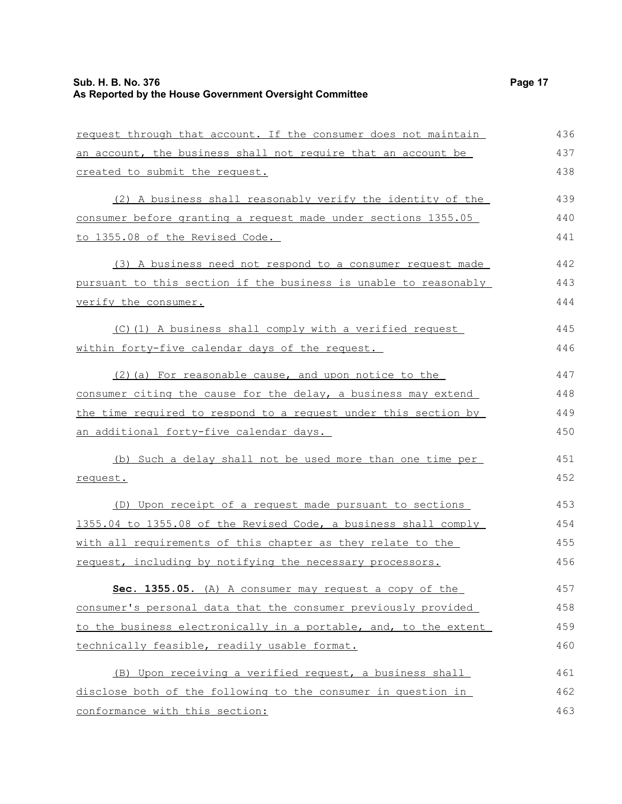| request through that account. If the consumer does not maintain  | 436 |
|------------------------------------------------------------------|-----|
| an account, the business shall not require that an account be    | 437 |
| created to submit the request.                                   | 438 |
| (2) A business shall reasonably verify the identity of the       | 439 |
| consumer before granting a request made under sections 1355.05   | 440 |
| to 1355.08 of the Revised Code.                                  | 441 |
| (3) A business need not respond to a consumer request made       | 442 |
| pursuant to this section if the business is unable to reasonably | 443 |
| verify the consumer.                                             | 444 |
| (C)(1) A business shall comply with a verified request           | 445 |
| within forty-five calendar days of the request.                  | 446 |
| (2) (a) For reasonable cause, and upon notice to the             | 447 |
| consumer citing the cause for the delay, a business may extend   | 448 |
| the time required to respond to a request under this section by  | 449 |
| an additional forty-five calendar days.                          | 450 |
| (b) Such a delay shall not be used more than one time per        | 451 |
| request.                                                         | 452 |
| (D) Upon receipt of a request made pursuant to sections          | 453 |
| 1355.04 to 1355.08 of the Revised Code, a business shall comply  | 454 |
| with all requirements of this chapter as they relate to the      | 455 |
| request, including by notifying the necessary processors.        | 456 |
| Sec. 1355.05. (A) A consumer may request a copy of the           | 457 |
| consumer's personal data that the consumer previously provided   | 458 |
| to the business electronically in a portable, and, to the extent | 459 |
| technically feasible, readily usable format.                     | 460 |
| (B) Upon receiving a verified request, a business shall          | 461 |
| disclose both of the following to the consumer in question in    | 462 |
| conformance with this section:                                   | 463 |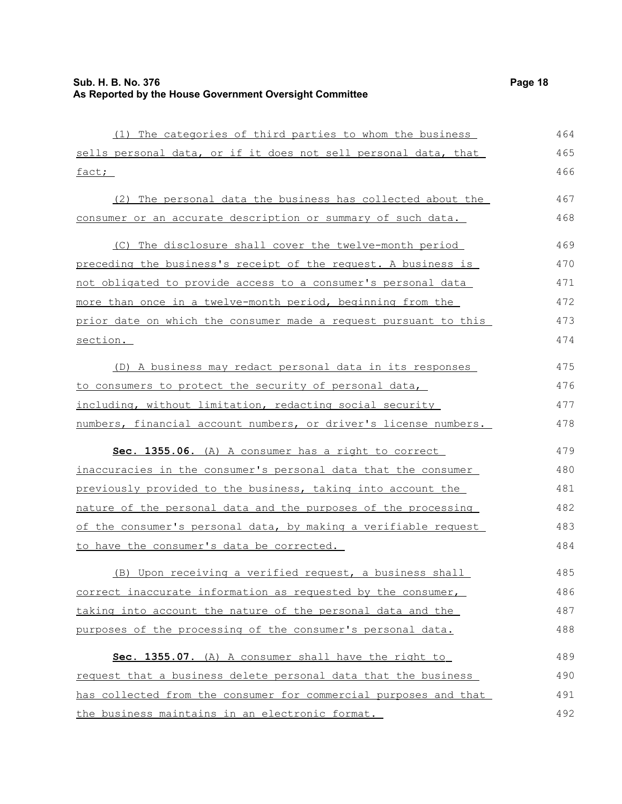| (1) The categories of third parties to whom the business         | 464 |
|------------------------------------------------------------------|-----|
| sells personal data, or if it does not sell personal data, that  | 465 |
| fact;                                                            | 466 |
| (2) The personal data the business has collected about the       | 467 |
| consumer or an accurate description or summary of such data.     | 468 |
|                                                                  |     |
| (C) The disclosure shall cover the twelve-month period           | 469 |
| preceding the business's receipt of the request. A business is   | 470 |
| not obligated to provide access to a consumer's personal data    | 471 |
| more than once in a twelve-month period, beginning from the      | 472 |
| prior date on which the consumer made a request pursuant to this | 473 |
| section.                                                         | 474 |
| (D) A business may redact personal data in its responses         | 475 |
| to consumers to protect the security of personal data,           | 476 |
| including, without limitation, redacting social security         | 477 |
| numbers, financial account numbers, or driver's license numbers. | 478 |
| Sec. 1355.06. (A) A consumer has a right to correct              | 479 |
| inaccuracies in the consumer's personal data that the consumer   | 480 |
| previously provided to the business, taking into account the     | 481 |
| nature of the personal data and the purposes of the processing   | 482 |
| of the consumer's personal data, by making a verifiable request  | 483 |
| to have the consumer's data be corrected.                        | 484 |
| (B) Upon receiving a verified request, a business shall          | 485 |
| correct inaccurate information as requested by the consumer,     | 486 |
| taking into account the nature of the personal data and the      | 487 |
| purposes of the processing of the consumer's personal data.      | 488 |
| Sec. 1355.07. (A) A consumer shall have the right to             | 489 |
| request that a business delete personal data that the business   | 490 |
| has collected from the consumer for commercial purposes and that | 491 |
| the business maintains in an electronic format.                  | 492 |
|                                                                  |     |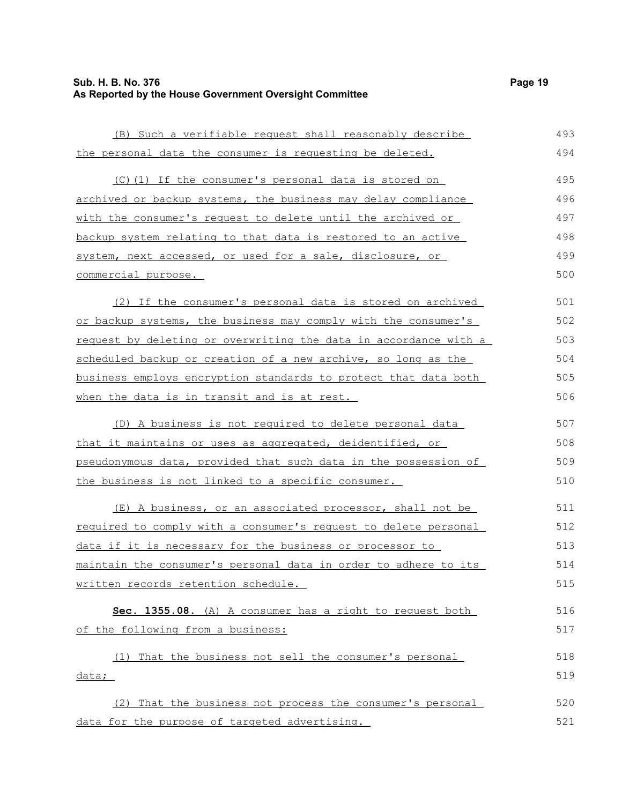## **Sub. H. B. No. 376** Page 19 **As Reported by the House Government Oversight Committee**

| (B) Such a verifiable request shall reasonably describe                 | 493 |
|-------------------------------------------------------------------------|-----|
| the personal data the consumer is requesting be deleted.                | 494 |
| (C)(1) If the consumer's personal data is stored on                     | 495 |
| archived or backup systems, the business may delay compliance           | 496 |
| with the consumer's request to delete until the archived or             | 497 |
| backup system relating to that data is restored to an active            | 498 |
| system, next accessed, or used for a sale, disclosure, or               | 499 |
| commercial purpose.                                                     | 500 |
| (2) If the consumer's personal data is stored on archived               | 501 |
| or backup systems, the business may comply with the consumer's          | 502 |
| <u>request by deleting or overwriting the data in accordance with a</u> | 503 |
| scheduled backup or creation of a new archive, so long as the           | 504 |
| business employs encryption standards to protect that data both         | 505 |
| when the data is in transit and is at rest.                             | 506 |
| (D) A business is not required to delete personal data                  | 507 |
| <u>that it maintains or uses as aggregated, deidentified, or </u>       | 508 |
| pseudonymous data, provided that such data in the possession of         | 509 |
| the business is not linked to a specific consumer.                      | 510 |
| (E) A business, or an associated processor, shall not be                | 511 |
| required to comply with a consumer's request to delete personal         | 512 |
| <u>data if it is necessary for the business or processor to</u>         | 513 |
| maintain the consumer's personal data in order to adhere to its         | 514 |
| written records retention schedule.                                     | 515 |
| Sec. 1355.08. (A) A consumer has a right to request both                | 516 |
| of the following from a business:                                       | 517 |
| (1) That the business not sell the consumer's personal                  | 518 |
| data;                                                                   | 519 |
| (2) That the business not process the consumer's personal               | 520 |
| data for the purpose of targeted advertising.                           | 521 |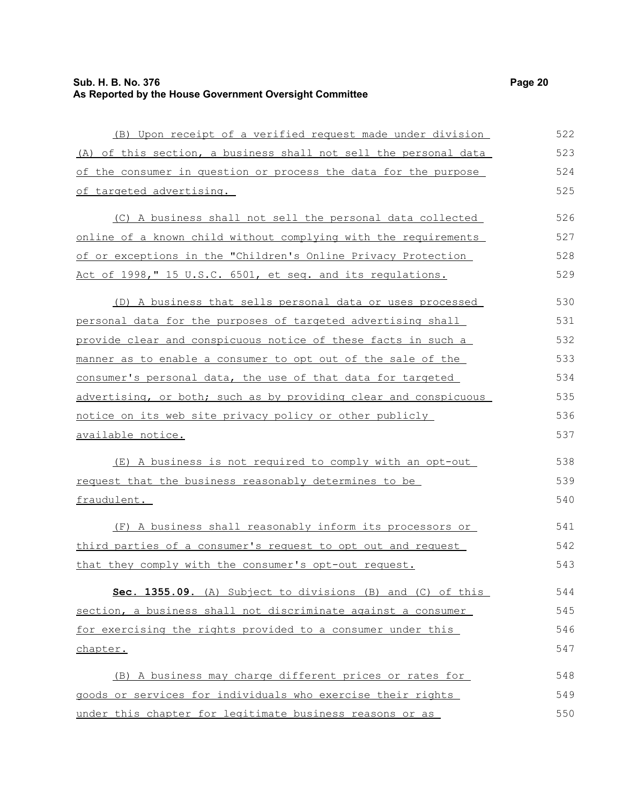(B) Upon receipt of a verified request made under division (A) of this section, a business shall not sell the personal data of the consumer in question or process the data for the purpose of targeted advertising. (C) A business shall not sell the personal data collected online of a known child without complying with the requirements of or exceptions in the "Children's Online Privacy Protection Act of 1998," 15 U.S.C. 6501, et seq. and its regulations. (D) A business that sells personal data or uses processed personal data for the purposes of targeted advertising shall provide clear and conspicuous notice of these facts in such a manner as to enable a consumer to opt out of the sale of the consumer's personal data, the use of that data for targeted advertising, or both; such as by providing clear and conspicuous notice on its web site privacy policy or other publicly available notice. (E) A business is not required to comply with an opt-out request that the business reasonably determines to be fraudulent. (F) A business shall reasonably inform its processors or third parties of a consumer's request to opt out and request that they comply with the consumer's opt-out request. **Sec. 1355.09.** (A) Subject to divisions (B) and (C) of this section, a business shall not discriminate against a consumer for exercising the rights provided to a consumer under this chapter. 522 523 524 525 526 527 528 529 530 531 532 533 534 535 536 537 538 539 540 541 542 543 544 545 546 547

(B) A business may charge different prices or rates for goods or services for individuals who exercise their rights under this chapter for legitimate business reasons or as 548 549 550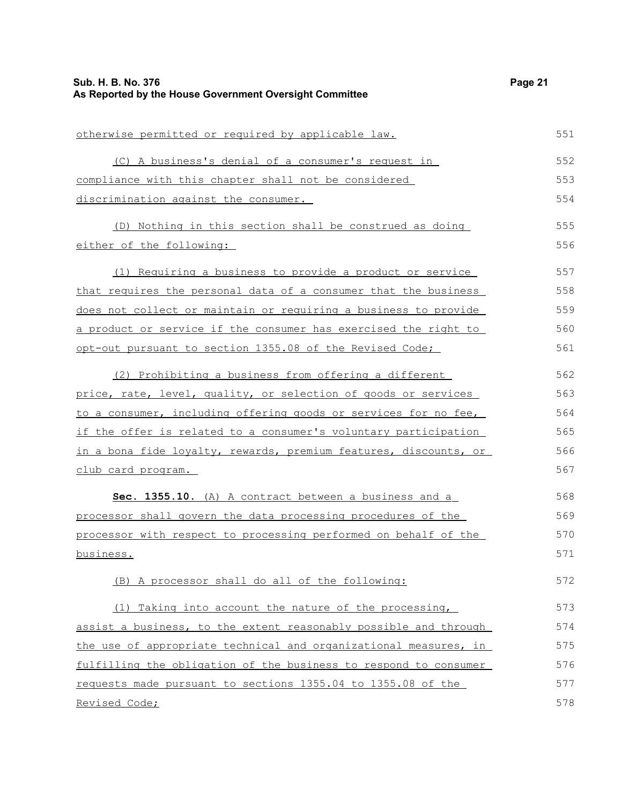| otherwise permitted or required by applicable law.               | 551 |
|------------------------------------------------------------------|-----|
| (C) A business's denial of a consumer's request in               | 552 |
| compliance with this chapter shall not be considered             | 553 |
| discrimination against the consumer.                             | 554 |
| (D) Nothing in this section shall be construed as doing          | 555 |
| either of the following:                                         | 556 |
| (1) Requiring a business to provide a product or service         | 557 |
| that requires the personal data of a consumer that the business  | 558 |
| does not collect or maintain or requiring a business to provide  | 559 |
| a product or service if the consumer has exercised the right to  | 560 |
| opt-out pursuant to section 1355.08 of the Revised Code;         | 561 |
| (2) Prohibiting a business from offering a different             | 562 |
| price, rate, level, quality, or selection of goods or services   | 563 |
| to a consumer, including offering goods or services for no fee,  | 564 |
| if the offer is related to a consumer's voluntary participation  | 565 |
| in a bona fide loyalty, rewards, premium features, discounts, or | 566 |
| <u>club card program.</u>                                        | 567 |
| Sec. 1355.10. (A) A contract between a business and a            | 568 |
| processor shall govern the data processing procedures of the     | 569 |
| processor with respect to processing performed on behalf of the  | 570 |
| business.                                                        | 571 |
| (B) A processor shall do all of the following:                   | 572 |
| (1) Taking into account the nature of the processing,            | 573 |
| assist a business, to the extent reasonably possible and through | 574 |
| the use of appropriate technical and organizational measures, in | 575 |
| fulfilling the obligation of the business to respond to consumer | 576 |
| requests made pursuant to sections 1355.04 to 1355.08 of the     | 577 |
| Revised Code;                                                    | 578 |
|                                                                  |     |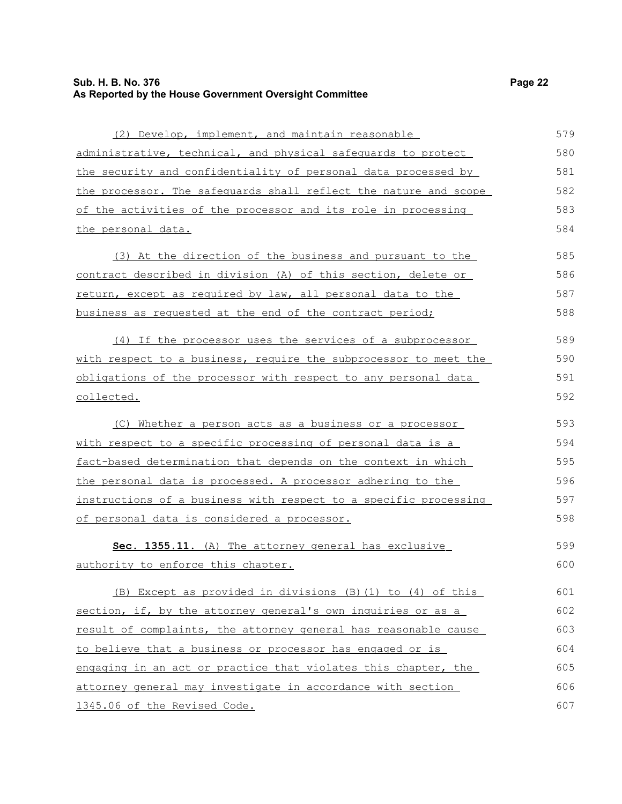## **Sub. H. B. No. 376** Page 22 **As Reported by the House Government Oversight Committee**

| (2) Develop, implement, and maintain reasonable                  | 579 |
|------------------------------------------------------------------|-----|
| administrative, technical, and physical safequards to protect    | 580 |
| the security and confidentiality of personal data processed by   | 581 |
| the processor. The safequards shall reflect the nature and scope | 582 |
| of the activities of the processor and its role in processing    | 583 |
| the personal data.                                               | 584 |
|                                                                  |     |
| (3) At the direction of the business and pursuant to the         | 585 |
| contract described in division (A) of this section, delete or    | 586 |
| return, except as required by law, all personal data to the      | 587 |
| business as requested at the end of the contract period;         | 588 |
| (4) If the processor uses the services of a subprocessor         | 589 |
| with respect to a business, require the subprocessor to meet the | 590 |
| obligations of the processor with respect to any personal data   | 591 |
| collected.                                                       | 592 |
| (C) Whether a person acts as a business or a processor           | 593 |
| with respect to a specific processing of personal data is a      | 594 |
| fact-based determination that depends on the context in which    | 595 |
| the personal data is processed. A processor adhering to the      | 596 |
| instructions of a business with respect to a specific processing | 597 |
| of personal data is considered a processor.                      | 598 |
| Sec. 1355.11. (A) The attorney general has exclusive             | 599 |
| authority to enforce this chapter.                               | 600 |
| (B) Except as provided in divisions (B) (1) to (4) of this       | 601 |
| section, if, by the attorney general's own inquiries or as a     | 602 |
| result of complaints, the attorney general has reasonable cause  | 603 |
| to believe that a business or processor has engaged or is        | 604 |
| engaging in an act or practice that violates this chapter, the   | 605 |
| attorney general may investigate in accordance with section      | 606 |
| 1345.06 of the Revised Code.                                     | 607 |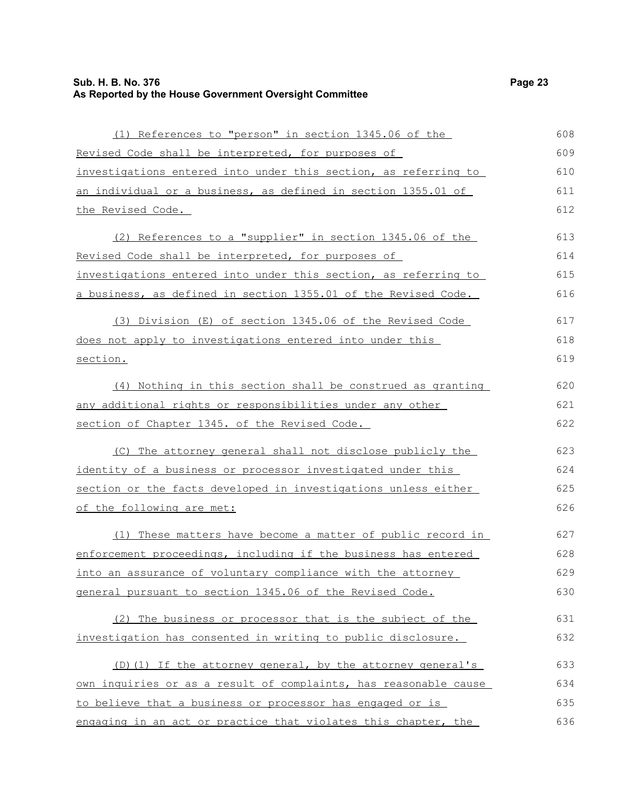#### **Sub. H. B. No. 376 Page 23 As Reported by the House Government Oversight Committee**

| (1) References to "person" in section 1345.06 of the                                                                                                                                                                              |
|-----------------------------------------------------------------------------------------------------------------------------------------------------------------------------------------------------------------------------------|
| Revised Code shall be interpreted, for purposes of                                                                                                                                                                                |
| investigations entered into under this section, as referring to                                                                                                                                                                   |
| an individual or a business, as defined in section 1355.01 of                                                                                                                                                                     |
| <u>the Revised Code.</u>                                                                                                                                                                                                          |
| (2) References to a "supplier" in section 1345.06 of the                                                                                                                                                                          |
| Revised Code shall be interpreted, for purposes of                                                                                                                                                                                |
| investigations entered into under this section, as referring to                                                                                                                                                                   |
| a business, as defined in section 1355.01 of the Revised Code.                                                                                                                                                                    |
| (3) Division (E) of section 1345.06 of the Revised Code                                                                                                                                                                           |
| does not apply to investigations entered into under this                                                                                                                                                                          |
| section.                                                                                                                                                                                                                          |
| (4) Nothing in this section shall be construed as granting                                                                                                                                                                        |
| $\mathbf{a}$ , and a set of the set of the set of the set of the set of the set of the set of the set of the set of the set of the set of the set of the set of the set of the set of the set of the set of the set of the set of |

any additional rights or responsibilities under any other section of Chapter 1345. of the Revised Code. (C) The attorney general shall not disclose publicly the identity of a business or processor investigated under this

section or the facts developed in investigations unless either of the following are met: 625 626

(1) These matters have become a matter of public record in enforcement proceedings, including if the business has entered into an assurance of voluntary compliance with the attorney general pursuant to section 1345.06 of the Revised Code. 627 628 629 630

(2) The business or processor that is the subject of the investigation has consented in writing to public disclosure. 631 632

(D)(1) If the attorney general, by the attorney general's own inquiries or as a result of complaints, has reasonable cause to believe that a business or processor has engaged or is engaging in an act or practice that violates this chapter, the 633 634 635 636

617 618 619

620 621 622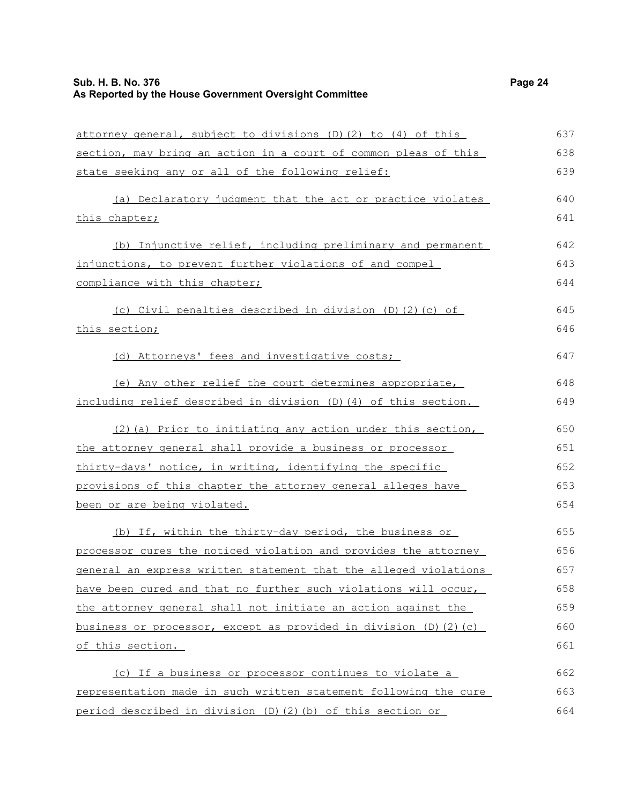## **Sub. H. B. No. 376** Page 24 **As Reported by the House Government Oversight Committee**

| attorney general, subject to divisions (D) (2) to (4) of this    | 637 |
|------------------------------------------------------------------|-----|
| section, may bring an action in a court of common pleas of this  | 638 |
| state seeking any or all of the following relief:                | 639 |
| (a) Declaratory judgment that the act or practice violates       | 640 |
| this chapter;                                                    | 641 |
| (b) Injunctive relief, including preliminary and permanent       | 642 |
| injunctions, to prevent further violations of and compel         | 643 |
| compliance with this chapter;                                    | 644 |
| (c) Civil penalties described in division (D) (2) (c) of         | 645 |
| this section;                                                    | 646 |
| (d) Attorneys' fees and investigative costs;                     | 647 |
| (e) Any other relief the court determines appropriate,           | 648 |
| including relief described in division (D)(4) of this section.   | 649 |
| (2) (a) Prior to initiating any action under this section,       | 650 |
| the attorney general shall provide a business or processor       | 651 |
| thirty-days' notice, in writing, identifying the specific        | 652 |
| provisions of this chapter the attorney general alleges have     | 653 |
| been or are being violated.                                      | 654 |
| (b) If, within the thirty-day period, the business or            | 655 |
| processor cures the noticed violation and provides the attorney  | 656 |
| general an express written statement that the alleged violations | 657 |
| have been cured and that no further such violations will occur,  | 658 |
| the attorney general shall not initiate an action against the    | 659 |
| business or processor, except as provided in division (D)(2)(c)  | 660 |
| of this section.                                                 | 661 |
| (c) If a business or processor continues to violate a            | 662 |
| representation made in such written statement following the cure | 663 |
| period described in division (D)(2)(b) of this section or        | 664 |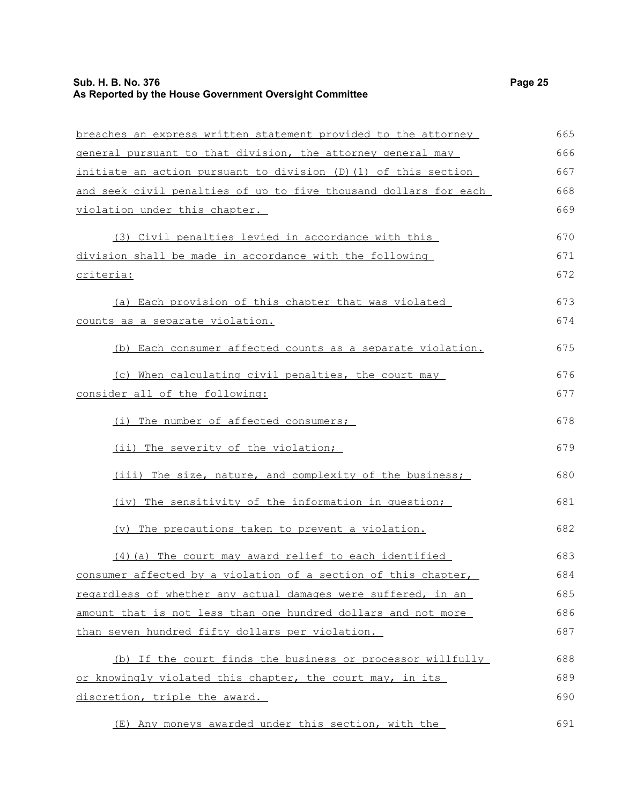| breaches an express written statement provided to the attorney   | 665 |
|------------------------------------------------------------------|-----|
| general pursuant to that division, the attorney general may      | 666 |
| initiate an action pursuant to division (D) (1) of this section  | 667 |
| and seek civil penalties of up to five thousand dollars for each | 668 |
| violation under this chapter.                                    | 669 |
| (3) Civil penalties levied in accordance with this               | 670 |
| division shall be made in accordance with the following          | 671 |
| criteria:                                                        | 672 |
| (a) Each provision of this chapter that was violated             | 673 |
| counts as a separate violation.                                  | 674 |
| (b) Each consumer affected counts as a separate violation.       | 675 |
| (c) When calculating civil penalties, the court may              | 676 |
| consider all of the following:                                   | 677 |
| (i) The number of affected consumers;                            | 678 |
| (ii) The severity of the violation;                              | 679 |
| (iii) The size, nature, and complexity of the business;          | 680 |
| (iv) The sensitivity of the information in question;             | 681 |
| (v) The precautions taken to prevent a violation.                | 682 |
| $(4)$ (a) The court may award relief to each identified          | 683 |
| consumer affected by a violation of a section of this chapter,   | 684 |
| regardless of whether any actual damages were suffered, in an    | 685 |
| amount that is not less than one hundred dollars and not more    | 686 |
| than seven hundred fifty dollars per violation.                  | 687 |
| (b) If the court finds the business or processor willfully       | 688 |
| or knowingly violated this chapter, the court may, in its        | 689 |

discretion, triple the award.

(E) Any moneys awarded under this section, with the 691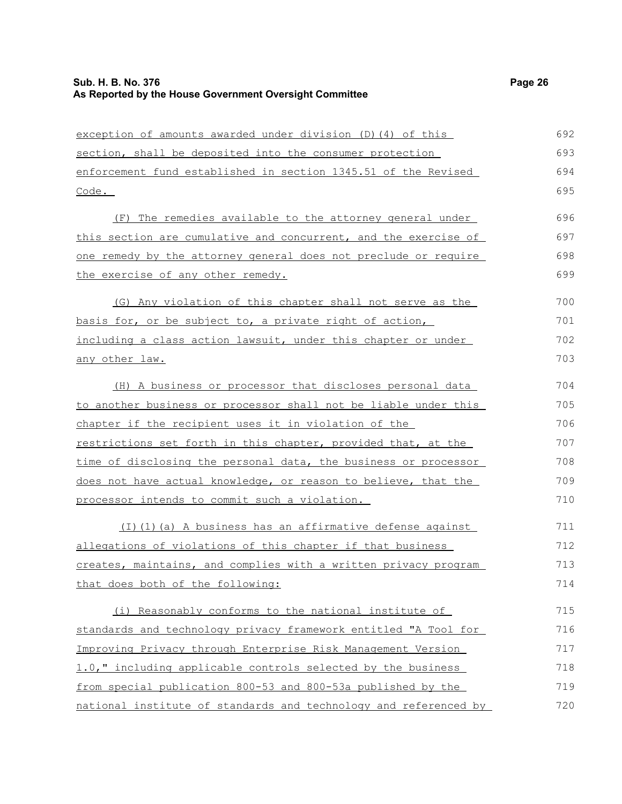| exception of amounts awarded under division (D) (4) of this            | 692 |
|------------------------------------------------------------------------|-----|
| section, shall be deposited into the consumer protection               | 693 |
| enforcement fund established in section 1345.51 of the Revised         | 694 |
| Code.                                                                  | 695 |
|                                                                        |     |
| (F) The remedies available to the attorney general under               | 696 |
| this section are cumulative and concurrent, and the exercise of        | 697 |
| one remedy by the attorney general does not preclude or require        | 698 |
| the exercise of any other remedy.                                      | 699 |
| (G) Any violation of this chapter shall not serve as the               | 700 |
| <u>basis for, or be subject to, a private right of action,</u>         | 701 |
| including a class action lawsuit, under this chapter or under          | 702 |
| <u>any other law.</u>                                                  | 703 |
| (H) A business or processor that discloses personal data               | 704 |
| <u>to another business or processor shall not be liable under this</u> | 705 |
| chapter if the recipient uses it in violation of the                   | 706 |
| restrictions set forth in this chapter, provided that, at the          | 707 |
| time of disclosing the personal data, the business or processor        | 708 |
| does not have actual knowledge, or reason to believe, that the         | 709 |
| processor intends to commit such a violation.                          | 710 |
| (I)(1)(a) A business has an affirmative defense against                | 711 |
| allegations of violations of this chapter if that business             | 712 |
| creates, maintains, and complies with a written privacy program        | 713 |
| that does both of the following:                                       | 714 |
| (i) Reasonably conforms to the national institute of                   | 715 |
| standards and technology privacy framework entitled "A Tool for        | 716 |
| Improving Privacy through Enterprise Risk Management Version           | 717 |
| 1.0," including applicable controls selected by the business           | 718 |
| from special publication 800-53 and 800-53a published by the           | 719 |
| national institute of standards and technology and referenced by       | 720 |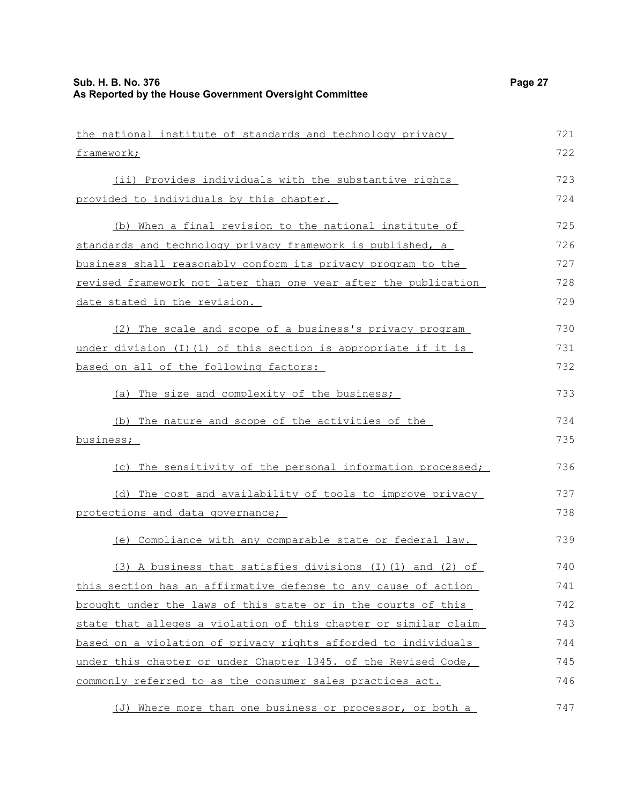| the national institute of standards and technology privacy         | 721 |
|--------------------------------------------------------------------|-----|
| framework;                                                         | 722 |
| (ii) Provides individuals with the substantive rights              | 723 |
| provided to individuals by this chapter.                           | 724 |
| (b) When a final revision to the national institute of             | 725 |
| standards and technology privacy framework is published, a         | 726 |
| business shall reasonably conform its privacy program to the       | 727 |
| revised framework not later than one year after the publication    | 728 |
| date stated in the revision.                                       | 729 |
| (2) The scale and scope of a business's privacy program            | 730 |
| under division $(I)$ $(I)$ of this section is appropriate if it is | 731 |
| based on all of the following factors:                             | 732 |
| (a) The size and complexity of the business;                       | 733 |
| (b) The nature and scope of the activities of the                  | 734 |
| business;                                                          | 735 |
| (c) The sensitivity of the personal information processed;         | 736 |
| (d) The cost and availability of tools to improve privacy          | 737 |
| protections and data governance;                                   | 738 |
| (e) Compliance with any comparable state or federal law.           | 739 |
| (3) A business that satisfies divisions (I)(1) and (2) of          | 740 |
| this section has an affirmative defense to any cause of action     | 741 |
| brought under the laws of this state or in the courts of this      | 742 |
| state that alleges a violation of this chapter or similar claim    | 743 |
| based on a violation of privacy rights afforded to individuals     | 744 |
| under this chapter or under Chapter 1345. of the Revised Code,     | 745 |
| commonly referred to as the consumer sales practices act.          | 746 |
| (J) Where more than one business or processor, or both a           | 747 |